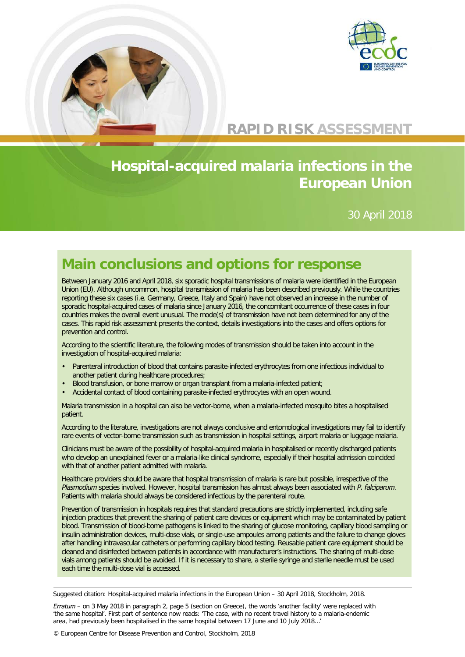

## **RAPID RISK ASSESSMENT**

# **Hospital-acquired malaria infections in the European Union**

30 April 2018

# **Main conclusions and options for response**

Between January 2016 and April 2018, six sporadic hospital transmissions of malaria were identified in the European Union (EU). Although uncommon, hospital transmission of malaria has been described previously. While the countries reporting these six cases (i.e. Germany, Greece, Italy and Spain) have not observed an increase in the number of sporadic hospital-acquired cases of malaria since January 2016, the concomitant occurrence of these cases in four countries makes the overall event unusual. The mode(s) of transmission have not been determined for any of the cases. This rapid risk assessment presents the context, details investigations into the cases and offers options for prevention and control.

According to the scientific literature, the following modes of transmission should be taken into account in the investigation of hospital-acquired malaria:

- Parenteral introduction of blood that contains parasite-infected erythrocytes from one infectious individual to another patient during healthcare procedures;
- Blood transfusion, or bone marrow or organ transplant from a malaria-infected patient;
- Accidental contact of blood containing parasite-infected erythrocytes with an open wound.

Malaria transmission in a hospital can also be vector-borne, when a malaria-infected mosquito bites a hospitalised patient.

According to the literature, investigations are not always conclusive and entomological investigations may fail to identify rare events of vector-borne transmission such as transmission in hospital settings, airport malaria or luggage malaria.

Clinicians must be aware of the possibility of hospital-acquired malaria in hospitalised or recently discharged patients who develop an unexplained fever or a malaria-like clinical syndrome, especially if their hospital admission coincided with that of another patient admitted with malaria.

Healthcare providers should be aware that hospital transmission of malaria is rare but possible, irrespective of the *Plasmodium* species involved. However, hospital transmission has almost always been associated with *P. falciparum*. Patients with malaria should always be considered infectious by the parenteral route.

Prevention of transmission in hospitals requires that standard precautions are strictly implemented, including safe injection practices that prevent the sharing of patient care devices or equipment which may be contaminated by patient blood. Transmission of blood-borne pathogens is linked to the sharing of glucose monitoring, capillary blood sampling or insulin administration devices, multi-dose vials, or single-use ampoules among patients and the failure to change gloves after handling intravascular catheters or performing capillary blood testing. Reusable patient care equipment should be cleaned and disinfected between patients in accordance with manufacturer's instructions. The sharing of multi-dose vials among patients should be avoided. If it is necessary to share, a sterile syringe and sterile needle must be used each time the multi-dose vial is accessed.

Suggested citation: Hospital-acquired malaria infections in the European Union – 30 April 2018, Stockholm, 2018.

*Erratum* – on 3 May 2018 in paragraph 2, page 5 (section on Greece), the words 'another facility' were replaced with 'the same hospital'. First part of sentence now reads: 'The case, with no recent travel history to a malaria-endemic area, had previously been hospitalised in the same hospital between 17 June and 10 July 2018…'

© European Centre for Disease Prevention and Control, Stockholm, 2018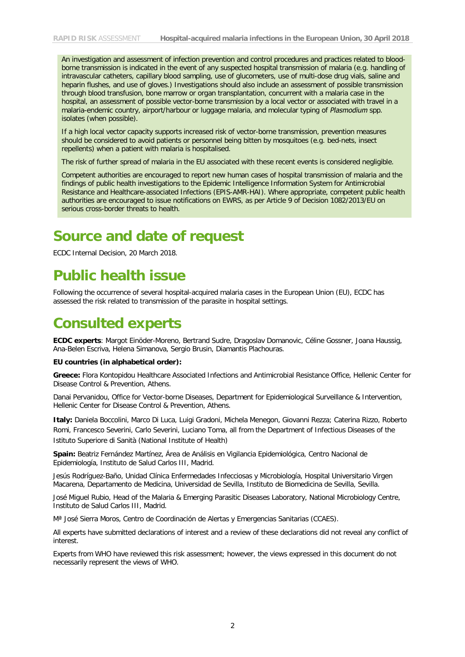An investigation and assessment of infection prevention and control procedures and practices related to bloodborne transmission is indicated in the event of any suspected hospital transmission of malaria (e.g. handling of intravascular catheters, capillary blood sampling, use of glucometers, use of multi-dose drug vials, saline and heparin flushes, and use of gloves.) Investigations should also include an assessment of possible transmission through blood transfusion, bone marrow or organ transplantation, concurrent with a malaria case in the hospital, an assessment of possible vector-borne transmission by a local vector or associated with travel in a malaria-endemic country, airport/harbour or luggage malaria, and molecular typing of *Plasmodium* spp. isolates (when possible).

If a high local vector capacity supports increased risk of vector-borne transmission, prevention measures should be considered to avoid patients or personnel being bitten by mosquitoes (e.g. bed-nets, insect repellents) when a patient with malaria is hospitalised.

The risk of further spread of malaria in the EU associated with these recent events is considered negligible.

Competent authorities are encouraged to report new human cases of hospital transmission of malaria and the findings of public health investigations to the Epidemic Intelligence Information System for Antimicrobial Resistance and Healthcare-associated Infections (EPIS-AMR-HAI). Where appropriate, competent public health authorities are encouraged to issue notifications on EWRS, as per Article 9 of Decision 1082/2013/EU on serious cross-border threats to health.

### **Source and date of request**

ECDC Internal Decision, 20 March 2018.

### **Public health issue**

Following the occurrence of several hospital-acquired malaria cases in the European Union (EU), ECDC has assessed the risk related to transmission of the parasite in hospital settings.

# **Consulted experts**

**ECDC experts**: Margot Einöder-Moreno, Bertrand Sudre, Dragoslav Domanovic, Céline Gossner, Joana Haussig, Ana-Belen Escriva, Helena Simanova, Sergio Brusin, Diamantis Plachouras.

#### **EU countries (in alphabetical order):**

**Greece:** Flora Kontopidou Healthcare Associated Infections and Antimicrobial Resistance Office, Hellenic Center for Disease Control & Prevention, Athens.

Danai Pervanidou, Office for Vector-borne Diseases, Department for Epidemiological Surveillance & Intervention, Hellenic Center for Disease Control & Prevention, Athens.

**Italy:** Daniela Boccolini, Marco Di Luca, Luigi Gradoni, Michela Menegon, Giovanni Rezza; Caterina Rizzo, Roberto Romi, Francesco Severini, Carlo Severini, Luciano Toma, all from the Department of Infectious Diseases of the Istituto Superiore di Sanità (National Institute of Health)

**Spain:** Beatriz Fernández Martínez, Área de Análisis en Vigilancia Epidemiológica, Centro Nacional de Epidemiología, Instituto de Salud Carlos III, Madrid.

Jesús Rodríguez-Baño, Unidad Clínica Enfermedades Infecciosas y Microbiología, Hospital Universitario Virgen Macarena, Departamento de Medicina, Universidad de Sevilla, Instituto de Biomedicina de Sevilla, Sevilla.

José Miguel Rubio, Head of the Malaria & Emerging Parasitic Diseases Laboratory, National Microbiology Centre, Instituto de Salud Carlos III, Madrid.

Mª José Sierra Moros, Centro de Coordinación de Alertas y Emergencias Sanitarias (CCAES).

All experts have submitted declarations of interest and a review of these declarations did not reveal any conflict of interest.

Experts from WHO have reviewed this risk assessment; however, the views expressed in this document do not necessarily represent the views of WHO.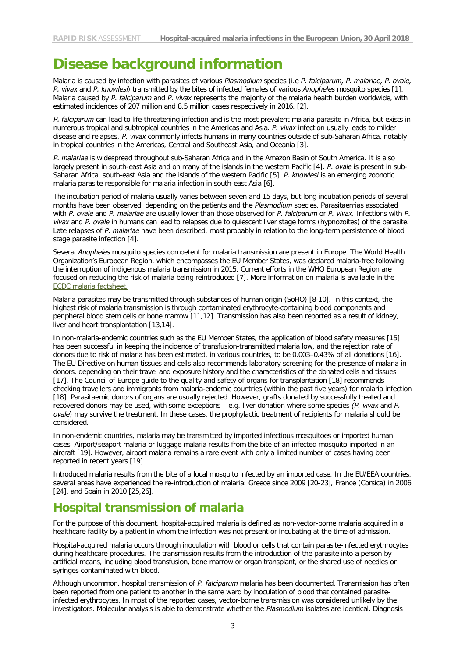### **Disease background information**

Malaria is caused by infection with parasites of various *Plasmodium* species (i.e *P. falciparum, P. malariae, P. ovale, P. vivax* and *P. knowlesi*) transmitted by the bites of infected females of various *Anopheles* mosquito species [1]. Malaria caused by *P. falciparum* and *P. vivax* represents the majority of the malaria health burden worldwide, with estimated incidences of 207 million and 8.5 million cases respectively in 2016. [2].

*P. falciparum* can lead to life-threatening infection and is the most prevalent malaria parasite in Africa, but exists in numerous tropical and subtropical countries in the Americas and Asia. *P. vivax* infection usually leads to milder disease and relapses. *P. vivax* commonly infects humans in many countries outside of sub-Saharan Africa, notably in tropical countries in the Americas, Central and Southeast Asia, and Oceania [3].

*P. malariae* is widespread throughout sub-Saharan Africa and in the Amazon Basin of South America. It is also largely present in south-east Asia and on many of the islands in the western Pacific [4]. *P. ovale* is present in sub-Saharan Africa, south-east Asia and the islands of the western Pacific [5]. *P. knowlesi* is an emerging zoonotic malaria parasite responsible for malaria infection in south-east Asia [6].

The incubation period of malaria usually varies between seven and 15 days, but long incubation periods of several months have been observed, depending on the patients and the *Plasmodium* species. Parasitaemias associated with *P. ovale* and *P. malariae* are usually lower than those observed for *P. falciparum* or *P. vivax*. Infections with *P. vivax* and *P. ovale* in humans can lead to relapses due to quiescent liver stage forms (hypnozoites) of the parasite. Late relapses of *P. malariae* have been described, most probably in relation to the long-term persistence of blood stage parasite infection [4].

Several *Anopheles* mosquito species competent for malaria transmission are present in Europe. The World Health Organization's European Region, which encompasses the EU Member States, was declared malaria-free following the interruption of indigenous malaria transmission in 2015. Current efforts in the WHO European Region are focused on reducing the risk of malaria being reintroduced [7]. More information on malaria is available in the ECDC malaria factsheet.

Malaria parasites may be transmitted through substances of human origin (SoHO) [8-10]. In this context, the highest risk of malaria transmission is through contaminated erythrocyte-containing blood components and peripheral blood stem cells or bone marrow [11,12]. Transmission has also been reported as a result of kidney, liver and heart transplantation [13,14].

In non-malaria-endemic countries such as the EU Member States, the application of blood safety measures [15] has been successful in keeping the incidence of transfusion-transmitted malaria low, and the rejection rate of donors due to risk of malaria has been estimated, in various countries, to be 0.003–0.43% of all donations [16]. The EU Directive on human tissues and cells also recommends laboratory screening for the presence of malaria in donors, depending on their travel and exposure history and the characteristics of the donated cells and tissues [17]. The Council of Europe guide to the quality and safety of organs for transplantation [18] recommends checking travellers and immigrants from malaria-endemic countries (within the past five years) for malaria infection [18]. Parasitaemic donors of organs are usually rejected. However, grafts donated by successfully treated and recovered donors may be used, with some exceptions – e.g. liver donation where some species *(P. vivax* and *P. ovale*) may survive the treatment. In these cases, the prophylactic treatment of recipients for malaria should be considered.

In non-endemic countries, malaria may be transmitted by imported infectious mosquitoes or imported human cases. Airport/seaport malaria or luggage malaria results from the bite of an infected mosquito imported in an aircraft [19]. However, airport malaria remains a rare event with only a limited number of cases having been reported in recent years [19].

Introduced malaria results from the bite of a local mosquito infected by an imported case. In the EU/EEA countries, several areas have experienced the re-introduction of malaria: Greece since 2009 [20-23], France (Corsica) in 2006 [24], and Spain in 2010 [25,26].

### **Hospital transmission of malaria**

For the purpose of this document, hospital-acquired malaria is defined as non-vector-borne malaria acquired in a healthcare facility by a patient in whom the infection was not present or incubating at the time of admission.

Hospital-acquired malaria occurs through inoculation with blood or cells that contain parasite-infected erythrocytes during healthcare procedures. The transmission results from the introduction of the parasite into a person by artificial means, including blood transfusion, bone marrow or organ transplant, or the shared use of needles or syringes contaminated with blood.

Although uncommon, hospital transmission of *P. falciparum* malaria has been documented. Transmission has often been reported from one patient to another in the same ward by inoculation of blood that contained parasiteinfected erythrocytes. In most of the reported cases, vector-borne transmission was considered unlikely by the investigators. Molecular analysis is able to demonstrate whether the *Plasmodium* isolates are identical. Diagnosis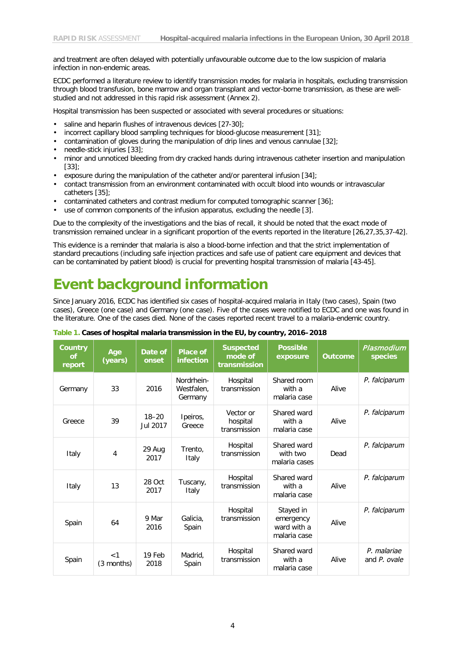and treatment are often delayed with potentially unfavourable outcome due to the low suspicion of malaria infection in non-endemic areas.

ECDC performed a literature review to identify transmission modes for malaria in hospitals, excluding transmission through blood transfusion, bone marrow and organ transplant and vector-borne transmission, as these are wellstudied and not addressed in this rapid risk assessment (Annex 2).

Hospital transmission has been suspected or associated with several procedures or situations:

- saline and heparin flushes of intravenous devices [27-30];
- incorrect capillary blood sampling techniques for blood-glucose measurement [31];
- contamination of gloves during the manipulation of drip lines and venous cannulae [32];
- needle-stick injuries [33];
- minor and unnoticed bleeding from dry cracked hands during intravenous catheter insertion and manipulation  $[33]$ ;
- exposure during the manipulation of the catheter and/or parenteral infusion [34];
- contact transmission from an environment contaminated with occult blood into wounds or intravascular catheters [35];
- contaminated catheters and contrast medium for computed tomographic scanner [36];
- use of common components of the infusion apparatus, excluding the needle [3].

Due to the complexity of the investigations and the bias of recall, it should be noted that the exact mode of transmission remained unclear in a significant proportion of the events reported in the literature [26,27,35,37-42].

This evidence is a reminder that malaria is also a blood-borne infection and that the strict implementation of standard precautions (including safe injection practices and safe use of patient care equipment and devices that can be contaminated by patient blood) is crucial for preventing hospital transmission of malaria [43-45].

# **Event background information**

Since January 2016, ECDC has identified six cases of hospital-acquired malaria in Italy (two cases), Spain (two cases), Greece (one case) and Germany (one case). Five of the cases were notified to ECDC and one was found in the literature. One of the cases died. None of the cases reported recent travel to a malaria-endemic country.

| <b>Country</b><br><b>of</b><br>report | Age<br>(years)    | Date of<br>onset      | <b>Place of</b><br>infection        | <b>Suspected</b><br>mode of<br>transmission | <b>Possible</b><br>exposure                           | <b>Outcome</b> | Plasmodium<br>species       |
|---------------------------------------|-------------------|-----------------------|-------------------------------------|---------------------------------------------|-------------------------------------------------------|----------------|-----------------------------|
| Germany                               | 33                | 2016                  | Nordrhein-<br>Westfalen,<br>Germany | Hospital<br>transmission                    | Shared room<br>with a<br>malaria case                 | Alive          | P. falciparum               |
| Greece                                | 39                | $18 - 20$<br>Jul 2017 | Ipeiros,<br>Greece                  | Vector or<br>hospital<br>transmission       | Shared ward<br>with a<br>malaria case                 | Alive          | P. falciparum               |
| Italy                                 | $\overline{4}$    | 29 Aug<br>2017        | Trento,<br>Italy                    | Hospital<br>transmission                    | Shared ward<br>with two<br>malaria cases              | Dead           | P. falciparum               |
| Italy                                 | 13                | 28 Oct<br>2017        | Tuscany,<br>Italy                   | Hospital<br>transmission                    | Shared ward<br>with a<br>malaria case                 | Alive          | P. falciparum               |
| Spain                                 | 64                | 9 Mar<br>2016         | Galicia,<br>Spain                   | Hospital<br>transmission                    | Stayed in<br>emergency<br>ward with a<br>malaria case | Alive          | P. falciparum               |
| Spain                                 | < 1<br>(3 months) | 19 Feb<br>2018        | Madrid,<br>Spain                    | Hospital<br>transmission                    | Shared ward<br>with a<br>malaria case                 | <b>Alive</b>   | P. malariae<br>and P. ovale |

**Table 1. Cases of hospital malaria transmission in the EU, by country, 2016–2018**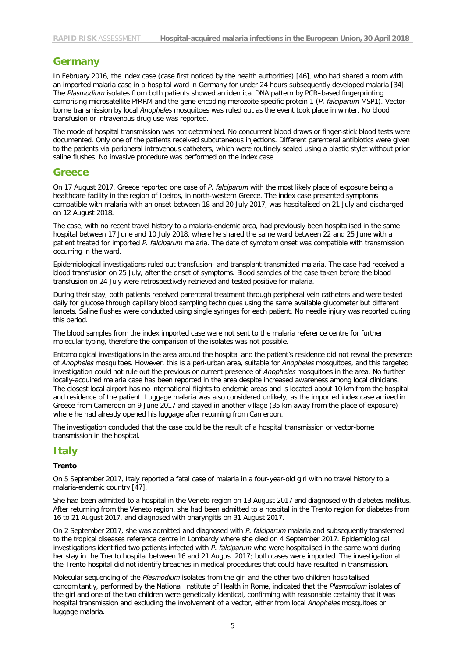### **Germany**

In February 2016, the index case (case first noticed by the health authorities) [46], who had shared a room with an imported malaria case in a hospital ward in Germany for under 24 hours subsequently developed malaria [34]. The *Plasmodium* isolates from both patients showed an identical DNA pattern by PCR–based fingerprinting comprising microsatellite PfRRM and the gene encoding merozoite-specific protein 1 (*P. falciparum* MSP1). Vectorborne transmission by local *Anopheles* mosquitoes was ruled out as the event took place in winter. No blood transfusion or intravenous drug use was reported.

The mode of hospital transmission was not determined. No concurrent blood draws or finger-stick blood tests were documented. Only one of the patients received subcutaneous injections. Different parenteral antibiotics were given to the patients via peripheral intravenous catheters, which were routinely sealed using a plastic stylet without prior saline flushes. No invasive procedure was performed on the index case.

#### **Greece**

On 17 August 2017, Greece reported one case of *P. falciparum* with the most likely place of exposure being a healthcare facility in the region of Ipeiros, in north-western Greece. The index case presented symptoms compatible with malaria with an onset between 18 and 20 July 2017, was hospitalised on 21 July and discharged on 12 August 2018.

The case, with no recent travel history to a malaria-endemic area, had previously been hospitalised in the same hospital between 17 June and 10 July 2018, where he shared the same ward between 22 and 25 June with a patient treated for imported *P. falciparum* malaria. The date of symptom onset was compatible with transmission occurring in the ward.

Epidemiological investigations ruled out transfusion- and transplant-transmitted malaria. The case had received a blood transfusion on 25 July, after the onset of symptoms. Blood samples of the case taken before the blood transfusion on 24 July were retrospectively retrieved and tested positive for malaria.

During their stay, both patients received parenteral treatment through peripheral vein catheters and were tested daily for glucose through capillary blood sampling techniques using the same available glucometer but different lancets. Saline flushes were conducted using single syringes for each patient. No needle injury was reported during this period.

The blood samples from the index imported case were not sent to the malaria reference centre for further molecular typing, therefore the comparison of the isolates was not possible.

Entomological investigations in the area around the hospital and the patient's residence did not reveal the presence of *Anopheles* mosquitoes. However, this is a peri-urban area, suitable for *Anopheles* mosquitoes, and this targeted investigation could not rule out the previous or current presence of *Anopheles* mosquitoes in the area. No further locally-acquired malaria case has been reported in the area despite increased awareness among local clinicians. The closest local airport has no international flights to endemic areas and is located about 10 km from the hospital and residence of the patient. Luggage malaria was also considered unlikely, as the imported index case arrived in Greece from Cameroon on 9 June 2017 and stayed in another village (35 km away from the place of exposure) where he had already opened his luggage after returning from Cameroon.

The investigation concluded that the case could be the result of a hospital transmission or vector-borne transmission in the hospital.

### **Italy**

#### **Trento**

On 5 September 2017, Italy reported a fatal case of malaria in a four-year-old girl with no travel history to a malaria-endemic country [47].

She had been admitted to a hospital in the Veneto region on 13 August 2017 and diagnosed with diabetes mellitus. After returning from the Veneto region, she had been admitted to a hospital in the Trento region for diabetes from 16 to 21 August 2017, and diagnosed with pharyngitis on 31 August 2017.

On 2 September 2017, she was admitted and diagnosed with *P. falciparum* malaria and subsequently transferred to the tropical diseases reference centre in Lombardy where she died on 4 September 2017. Epidemiological investigations identified two patients infected with *P. falciparum* who were hospitalised in the same ward during her stay in the Trento hospital between 16 and 21 August 2017; both cases were imported. The investigation at the Trento hospital did not identify breaches in medical procedures that could have resulted in transmission.

Molecular sequencing of the *Plasmodium* isolates from the girl and the other two children hospitalised concomitantly, performed by the National Institute of Health in Rome, indicated that the *Plasmodium* isolates of the girl and one of the two children were genetically identical, confirming with reasonable certainty that it was hospital transmission and excluding the involvement of a vector, either from local *Anopheles* mosquitoes or luggage malaria.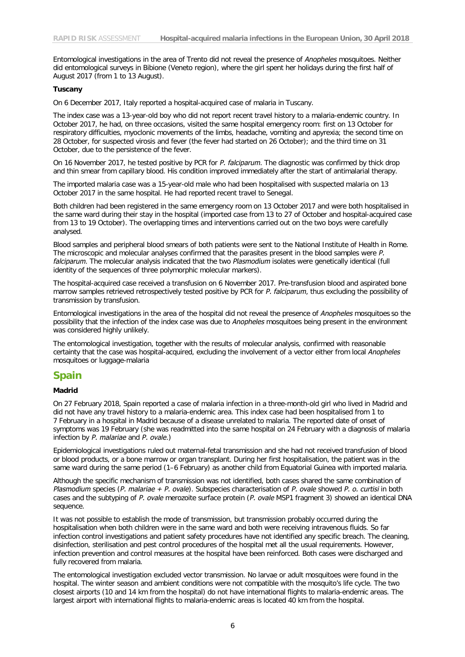Entomological investigations in the area of Trento did not reveal the presence of *Anopheles* mosquitoes. Neither did entomological surveys in Bibione (Veneto region), where the girl spent her holidays during the first half of August 2017 (from 1 to 13 August).

#### **Tuscany**

On 6 December 2017, Italy reported a hospital-acquired case of malaria in Tuscany.

The index case was a 13-year-old boy who did not report recent travel history to a malaria-endemic country. In October 2017, he had, on three occasions, visited the same hospital emergency room: first on 13 October for respiratory difficulties, myoclonic movements of the limbs, headache, vomiting and apyrexia; the second time on 28 October, for suspected virosis and fever (the fever had started on 26 October); and the third time on 31 October, due to the persistence of the fever.

On 16 November 2017, he tested positive by PCR for *P. falciparum*. The diagnostic was confirmed by thick drop and thin smear from capillary blood. His condition improved immediately after the start of antimalarial therapy.

The imported malaria case was a 15-year-old male who had been hospitalised with suspected malaria on 13 October 2017 in the same hospital. He had reported recent travel to Senegal.

Both children had been registered in the same emergency room on 13 October 2017 and were both hospitalised in the same ward during their stay in the hospital (imported case from 13 to 27 of October and hospital-acquired case from 13 to 19 October). The overlapping times and interventions carried out on the two boys were carefully analysed.

Blood samples and peripheral blood smears of both patients were sent to the National Institute of Health in Rome. The microscopic and molecular analyses confirmed that the parasites present in the blood samples were *P. falciparum*. The molecular analysis indicated that the two *Plasmodium* isolates were genetically identical (full identity of the sequences of three polymorphic molecular markers).

The hospital-acquired case received a transfusion on 6 November 2017. Pre-transfusion blood and aspirated bone marrow samples retrieved retrospectively tested positive by PCR for *P. falciparum*, thus excluding the possibility of transmission by transfusion.

Entomological investigations in the area of the hospital did not reveal the presence of *Anopheles* mosquitoes so the possibility that the infection of the index case was due to *Anopheles* mosquitoes being present in the environment was considered highly unlikely.

The entomological investigation, together with the results of molecular analysis, confirmed with reasonable certainty that the case was hospital-acquired, excluding the involvement of a vector either from local *Anopheles* mosquitoes or luggage-malaria

#### **Spain**

#### **Madrid**

On 27 February 2018, Spain reported a case of malaria infection in a three-month-old girl who lived in Madrid and did not have any travel history to a malaria-endemic area. This index case had been hospitalised from 1 to 7 February in a hospital in Madrid because of a disease unrelated to malaria. The reported date of onset of symptoms was 19 February (she was readmitted into the same hospital on 24 February with a diagnosis of malaria infection by *P. malariae* and *P. ovale*.)

Epidemiological investigations ruled out maternal-fetal transmission and she had not received transfusion of blood or blood products, or a bone marrow or organ transplant. During her first hospitalisation, the patient was in the same ward during the same period (1–6 February) as another child from Equatorial Guinea with imported malaria.

Although the specific mechanism of transmission was not identified, both cases shared the same combination of *Plasmodium* species (*P. malariae + P. ovale*). Subspecies characterisation of *P. ovale* showed *P. o. curtisi* in both cases and the subtyping of *P. ovale* merozoite surface protein (*P. ovale* MSP1 fragment 3) showed an identical DNA sequence.

It was not possible to establish the mode of transmission, but transmission probably occurred during the hospitalisation when both children were in the same ward and both were receiving intravenous fluids. So far infection control investigations and patient safety procedures have not identified any specific breach. The cleaning, disinfection, sterilisation and pest control procedures of the hospital met all the usual requirements. However, infection prevention and control measures at the hospital have been reinforced. Both cases were discharged and fully recovered from malaria.

The entomological investigation excluded vector transmission. No larvae or adult mosquitoes were found in the hospital. The winter season and ambient conditions were not compatible with the mosquito's life cycle. The two closest airports (10 and 14 km from the hospital) do not have international flights to malaria-endemic areas. The largest airport with international flights to malaria-endemic areas is located 40 km from the hospital.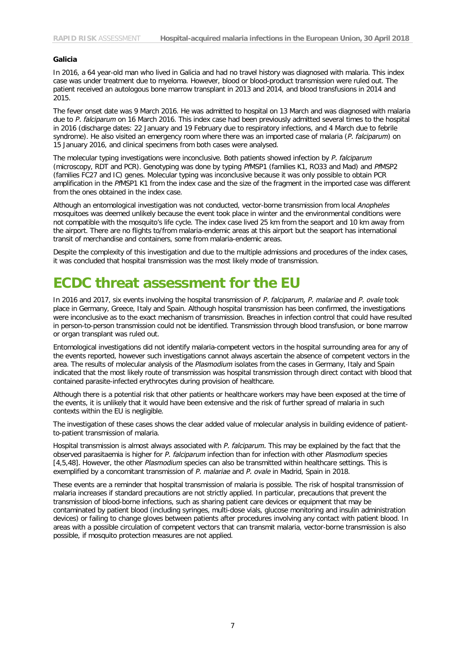#### **Galicia**

In 2016, a 64 year-old man who lived in Galicia and had no travel history was diagnosed with malaria. This index case was under treatment due to myeloma. However, blood or blood-product transmission were ruled out. The patient received an autologous bone marrow transplant in 2013 and 2014, and blood transfusions in 2014 and 2015.

The fever onset date was 9 March 2016. He was admitted to hospital on 13 March and was diagnosed with malaria due to *P. falciparum* on 16 March 2016. This index case had been previously admitted several times to the hospital in 2016 (discharge dates: 22 January and 19 February due to respiratory infections, and 4 March due to febrile syndrome). He also visited an emergency room where there was an imported case of malaria (*P. falciparum*) on 15 January 2016, and clinical specimens from both cases were analysed.

The molecular typing investigations were inconclusive. Both patients showed infection by *P. falciparum* (microscopy, RDT and PCR). Genotyping was done by typing *Pf*MSP1 (families K1, RO33 and Mad) and *Pf*MSP2 (families FC27 and IC) genes. Molecular typing was inconclusive because it was only possible to obtain PCR amplification in the *Pf*MSP1 K1 from the index case and the size of the fragment in the imported case was different from the ones obtained in the index case.

Although an entomological investigation was not conducted, vector-borne transmission from local *Anopheles* mosquitoes was deemed unlikely because the event took place in winter and the environmental conditions were not compatible with the mosquito's life cycle. The index case lived 25 km from the seaport and 10 km away from the airport. There are no flights to/from malaria-endemic areas at this airport but the seaport has international transit of merchandise and containers, some from malaria-endemic areas.

Despite the complexity of this investigation and due to the multiple admissions and procedures of the index cases, it was concluded that hospital transmission was the most likely mode of transmission.

### **ECDC threat assessment for the EU**

In 2016 and 2017, six events involving the hospital transmission of *P. falciparum, P. malariae* and *P. ovale* took place in Germany, Greece, Italy and Spain. Although hospital transmission has been confirmed, the investigations were inconclusive as to the exact mechanism of transmission. Breaches in infection control that could have resulted in person-to-person transmission could not be identified. Transmission through blood transfusion, or bone marrow or organ transplant was ruled out.

Entomological investigations did not identify malaria-competent vectors in the hospital surrounding area for any of the events reported, however such investigations cannot always ascertain the absence of competent vectors in the area. The results of molecular analysis of the *Plasmodium* isolates from the cases in Germany, Italy and Spain indicated that the most likely route of transmission was hospital transmission through direct contact with blood that contained parasite-infected erythrocytes during provision of healthcare.

Although there is a potential risk that other patients or healthcare workers may have been exposed at the time of the events, it is unlikely that it would have been extensive and the risk of further spread of malaria in such contexts within the EU is negligible.

The investigation of these cases shows the clear added value of molecular analysis in building evidence of patientto-patient transmission of malaria.

Hospital transmission is almost always associated with *P. falciparum.* This may be explained by the fact that the observed parasitaemia is higher for *P. falciparum* infection than for infection with other *Plasmodium* species [4,5,48]*.* However, the other *Plasmodium* species can also be transmitted within healthcare settings. This is exemplified by a concomitant transmission of *P. malariae* and *P. ovale* in Madrid, Spain in 2018.

These events are a reminder that hospital transmission of malaria is possible. The risk of hospital transmission of malaria increases if standard precautions are not strictly applied. In particular, precautions that prevent the transmission of blood-borne infections, such as sharing patient care devices or equipment that may be contaminated by patient blood (including syringes, multi-dose vials, glucose monitoring and insulin administration devices) or failing to change gloves between patients after procedures involving any contact with patient blood. In areas with a possible circulation of competent vectors that can transmit malaria, vector-borne transmission is also possible, if mosquito protection measures are not applied.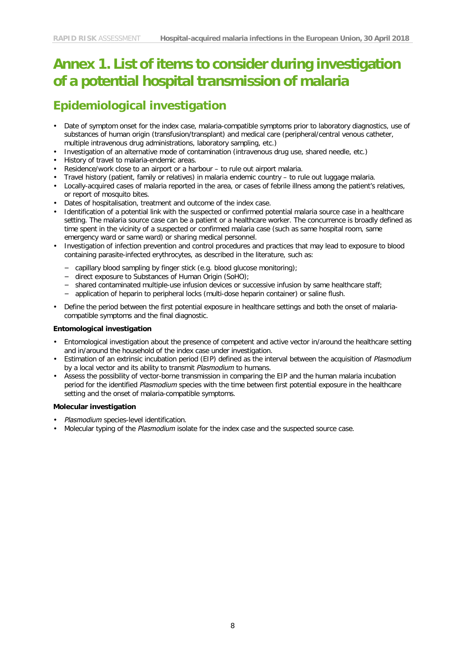# **Annex 1. List of items to consider during investigation of a potential hospital transmission of malaria**

### **Epidemiological investigation**

- Date of symptom onset for the index case, malaria-compatible symptoms prior to laboratory diagnostics, use of substances of human origin (transfusion/transplant) and medical care (peripheral/central venous catheter, multiple intravenous drug administrations, laboratory sampling, etc.)
- Investigation of an alternative mode of contamination (intravenous drug use, shared needle, etc.)
- History of travel to malaria-endemic areas.
- Residence/work close to an airport or a harbour to rule out airport malaria.
- Travel history (patient, family or relatives) in malaria endemic country to rule out luggage malaria.
- Locally-acquired cases of malaria reported in the area, or cases of febrile illness among the patient's relatives, or report of mosquito bites.
- Dates of hospitalisation, treatment and outcome of the index case.
- Identification of a potential link with the suspected or confirmed potential malaria source case in a healthcare setting. The malaria source case can be a patient or a healthcare worker. The concurrence is broadly defined as time spent in the vicinity of a suspected or confirmed malaria case (such as same hospital room, same emergency ward or same ward) or sharing medical personnel.
- Investigation of infection prevention and control procedures and practices that may lead to exposure to blood containing parasite-infected erythrocytes, as described in the literature, such as:
	- − capillary blood sampling by finger stick (e.g. blood glucose monitoring);
	- − direct exposure to Substances of Human Origin (SoHO);
	- − shared contaminated multiple-use infusion devices or successive infusion by same healthcare staff;
	- − application of heparin to peripheral locks (multi-dose heparin container) or saline flush.
- Define the period between the first potential exposure in healthcare settings and both the onset of malariacompatible symptoms and the final diagnostic.

#### **Entomological investigation**

- Entomological investigation about the presence of competent and active vector in/around the healthcare setting and in/around the household of the index case under investigation.
- Estimation of an extrinsic incubation period (EIP) defined as the interval between the acquisition of *Plasmodium* by a local vector and its ability to transmit *Plasmodium* to humans.
- Assess the possibility of vector-borne transmission in comparing the EIP and the human malaria incubation period for the identified *Plasmodium* species with the time between first potential exposure in the healthcare setting and the onset of malaria-compatible symptoms.

#### **Molecular investigation**

- *Plasmodium* species-level identification.
- Molecular typing of the *Plasmodium* isolate for the index case and the suspected source case.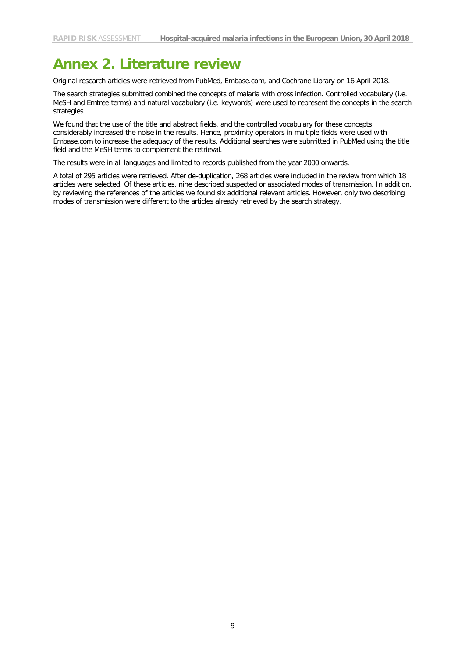## **Annex 2. Literature review**

Original research articles were retrieved from PubMed, Embase.com, and Cochrane Library on 16 April 2018.

The search strategies submitted combined the concepts of malaria with cross infection. Controlled vocabulary (i.e. MeSH and Emtree terms) and natural vocabulary (i.e. keywords) were used to represent the concepts in the search strategies.

We found that the use of the title and abstract fields, and the controlled vocabulary for these concepts considerably increased the noise in the results. Hence, proximity operators in multiple fields were used with Embase.com to increase the adequacy of the results. Additional searches were submitted in PubMed using the title field and the MeSH terms to complement the retrieval.

The results were in all languages and limited to records published from the year 2000 onwards.

A total of 295 articles were retrieved. After de-duplication, 268 articles were included in the review from which 18 articles were selected. Of these articles, nine described suspected or associated modes of transmission. In addition, by reviewing the references of the articles we found six additional relevant articles. However, only two describing modes of transmission were different to the articles already retrieved by the search strategy.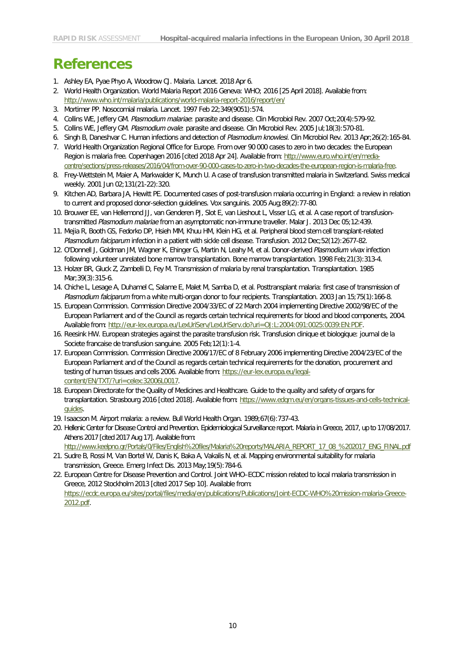## **References**

- 1. Ashley EA, Pyae Phyo A, Woodrow CJ. Malaria. Lancet. 2018 Apr 6.
- 2. World Health Organization. World Malaria Report 2016 Geneva: WHO; 2016 [25 April 2018]. Available from: <http://www.who.int/malaria/publications/world-malaria-report-2016/report/en/>
- 3. Mortimer PP. Nosocomial malaria. Lancet. 1997 Feb 22;349(9051):574.
- 4. Collins WE, Jeffery GM. *Plasmodium malariae*: parasite and disease. Clin Microbiol Rev. 2007 Oct;20(4):579-92.
- 5. Collins WE, Jeffery GM. *Plasmodium ovale*: parasite and disease. Clin Microbiol Rev. 2005 Jul;18(3):570-81.
- 6. Singh B, Daneshvar C. Human infections and detection of *Plasmodium knowlesi*. Clin Microbiol Rev. 2013 Apr;26(2):165-84.
- 7. World Health Organization Regional Office for Europe. From over 90 000 cases to zero in two decades: the European Region is malaria free. Copenhagen 2016 [cited 2018 Apr 24]. Available from[: http://www.euro.who.int/en/media](http://www.euro.who.int/en/media-centre/sections/press-releases/2016/04/from-over-90-000-cases-to-zero-in-two-decades-the-european-region-is-malaria-free)[centre/sections/press-releases/2016/04/from-over-90-000-cases-to-zero-in-two-decades-the-european-region-is-malaria-free.](http://www.euro.who.int/en/media-centre/sections/press-releases/2016/04/from-over-90-000-cases-to-zero-in-two-decades-the-european-region-is-malaria-free)
- 8. Frey-Wettstein M, Maier A, Markwalder K, Munch U. A case of transfusion transmitted malaria in Switzerland. Swiss medical weekly. 2001 Jun 02;131(21-22):320.
- 9. Kitchen AD, Barbara JA, Hewitt PE. Documented cases of post-transfusion malaria occurring in England: a review in relation to current and proposed donor-selection guidelines. Vox sanguinis. 2005 Aug;89(2):77-80.
- 10. Brouwer EE, van Hellemond JJ, van Genderen PJ, Slot E, van Lieshout L, Visser LG, et al. A case report of transfusiontransmitted *Plasmodium malariae* from an asymptomatic non-immune traveller. Malar J. 2013 Dec 05;12:439.
- 11. Mejia R, Booth GS, Fedorko DP, Hsieh MM, Khuu HM, Klein HG, et al. Peripheral blood stem cell transplant-related *Plasmodium falciparum* infection in a patient with sickle cell disease. Transfusion. 2012 Dec;52(12):2677-82.
- 12. O'Donnell J, Goldman JM, Wagner K, Ehinger G, Martin N, Leahy M, et al. Donor-derived *Plasmodium vivax* infection following volunteer unrelated bone marrow transplantation. Bone marrow transplantation. 1998 Feb;21(3):313-4.
- 13. Holzer BR, Gluck Z, Zambelli D, Fey M. Transmission of malaria by renal transplantation. Transplantation. 1985 Mar;39(3):315-6.
- 14. Chiche L, Lesage A, Duhamel C, Salame E, Malet M, Samba D, et al. Posttransplant malaria: first case of transmission of *Plasmodium falciparum* from a white multi-organ donor to four recipients. Transplantation. 2003 Jan 15;75(1):166-8.
- 15. European Commission. Commission Directive 2004/33/EC of 22 March 2004 implementing Directive 2002/98/EC of the European Parliament and of the Council as regards certain technical requirements for blood and blood components, 2004. Available from[: http://eur-lex.europa.eu/LexUriServ/LexUriServ.do?uri=OJ:L:2004:091:0025:0039:EN:PDF.](http://eur-lex.europa.eu/LexUriServ/LexUriServ.do?uri=OJ:L:2004:091:0025:0039:EN:PDF)
- 16. Reesink HW. European strategies against the parasite transfusion risk. Transfusion clinique et biologique: journal de la Societe francaise de transfusion sanguine. 2005 Feb;12(1):1-4.
- 17. European Commission. Commission Directive 2006/17/EC of 8 February 2006 implementing Directive 2004/23/EC of the European Parliament and of the Council as regards certain technical requirements for the donation, procurement and testing of human tissues and cells 2006. Available from[: https://eur-lex.europa.eu/legal](https://eur-lex.europa.eu/legal-content/EN/TXT/?uri=celex:32006L0017)[content/EN/TXT/?uri=celex:32006L0017.](https://eur-lex.europa.eu/legal-content/EN/TXT/?uri=celex:32006L0017)
- 18. European Directorate for the Quality of Medicines and Healthcare. Guide to the quality and safety of organs for transplantation. Strasbourg 2016 [cited 2018]. Available from: [https://www.edqm.eu/en/organs-tissues-and-cells-technical](https://www.edqm.eu/en/organs-tissues-and-cells-technical-guides)[guides.](https://www.edqm.eu/en/organs-tissues-and-cells-technical-guides)
- 19. Isaacson M. Airport malaria: a review. Bull World Health Organ. 1989;67(6):737-43.
- 20. Hellenic Center for Disease Control and Prevention. Epidemiological Surveillance report. Malaria in Greece, 2017, up to 17/08/2017. Athens 2017 [cited 2017 Aug 17]. Available from:
	- [http://www.keelpno.gr/Portals/0/Files/English%20files/Malaria%20reports/MALARIA\\_REPORT\\_17\\_08\\_%202017\\_ENG\\_FINAL.pdf](http://www.keelpno.gr/Portals/0/Files/English%20files/Malaria%20reports/MALARIA_REPORT_17_08_%202017_ENG_FINAL.pdf)
- 21. Sudre B, Rossi M, Van Bortel W, Danis K, Baka A, Vakalis N, et al. Mapping environmental suitability for malaria transmission, Greece. Emerg Infect Dis. 2013 May;19(5):784-6.
- 22. European Centre for Disease Prevention and Control. Joint WHO–ECDC mission related to local malaria transmission in Greece, 2012 Stockholm 2013 [cited 2017 Sep 10]. Available from: [https://ecdc.europa.eu/sites/portal/files/media/en/publications/Publications/Joint-ECDC-WHO%20mission-malaria-Greece-](https://ecdc.europa.eu/sites/portal/files/media/en/publications/Publications/Joint-ECDC-WHO%20mission-malaria-Greece-2012.pdf)[2012.pdf.](https://ecdc.europa.eu/sites/portal/files/media/en/publications/Publications/Joint-ECDC-WHO%20mission-malaria-Greece-2012.pdf)